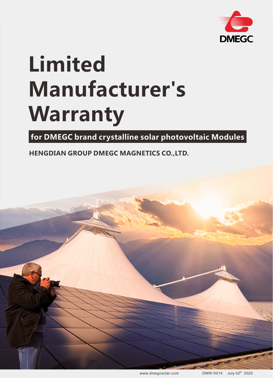

# **Limited Manufacturer's Warranty**

**for DMEGC brand crystalline solar photovoltaic Modules** 

**HENGDIAN GROUP DMEGC MAGNETICS CO.,LTD.**



www.dmegcsolar.com DMW-0014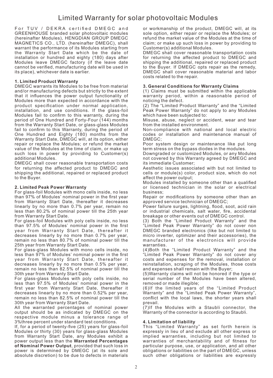# Limited Warranty for solar photovoltaic Modules

For TUV / DEKRA certified DMEGC and GREENHOUSE branded solar photovoltaic modules (hereinafter Modules), HENGDIAN GROUP DMEGC MAGNETICS CO., LTD. (hereinafter DMEGC), shall warrant the performance of its Modules starting from the Warranty Start Date which be the date of installation or hundred and eighty (180) days after Modules leave DMEGC factory (if the leave date cannot be verified, manufacturing date will be used in its place), whichever date is earlier.

## **1. Limited Product Warranty**

DMEGC warrants its Modules to be free from material and/or manufacturing defects but strictly to the extent that it influences the power output functionality of Modules more than expected in accordance with the product specification under normal application, installation, and use conditions. If the glass-foil Modules fail to confirm to this warranty, during the period of One Hundred and Forty-Four (144) months from the Warranty Start Date, or glass-glass Modules fail to confirm to this Warranty, during the period of One Hundred and Eighty (180) months from the Warranty Start Date, DMEGC will, at its option, either repair or replace the Modules; or refund the market value of the Modules at the time of claim, or make up such loss in power by providing to Customer(s) additional Modules.

DMEGC shall cover reasonable transportation costs for returning the affected product to DMEGC and shipping the additional, repaired or replaced product to the Buyer.

## **2. Limited Peak Power Warranty**

For glass-foil Modules with mono cells inside, no less than 97% of Modules' nominal power in the first year from Warranty Start Date, thereafter it decreases linearly by no more than 0.7% per year, remain no less than 80.2% of nominal power till the 25th year from Warranty Start Date.

For glass-foil Modules with poly cells inside, no less than 97.5% of Modules' nominal power in the first year from Warranty Start Date, thereafter it decreases linearly by no more than 0.7% per year, remain no less than 80.7% of nominal power till the 25th year from Warranty Start Date.

For glass-glass Modules with mono cells inside, no less than 97% of Modules' nominal power in the first year from Warranty Start Date, thereafter it decreases linearly by no more than 0.5% per year, remain no less than 82.5% of nominal power till the 30th year from Warranty Start Date.

For glass-glass Modules with poly cells inside, no less than 97.5% of Modules' nominal power in the first year from Warranty Start Date, thereafter it decreases linearly by no more than 0.52% per year, remain no less than 82.5% of nominal power till the 30th year from Warranty Start Date.

All the warranted percentages of nominal power output should be as indicated by DMEGC on the respective module minus a tolerance range of 3%three percent under standard test conditions.

If, for a period of twenty-five (25) years for glass-foil Modules or thirty (30) years for glass-glass Modules from Warranty Start Date, any Modules exhibit a power output less than the **Warranted Percentages of Nominal Power Output**, provided that such loss in power is determined by DMEGC (at its sole and absolute discretion) to be due to defects in materials

or workmanship of the product, DMEGC will, at its sole option, either repair or replace the Modules; or refund the market value of the Modules at the time of claim; or make up such loss in power by providing to Customer(s) additional Modules.

DMEGC shall cover reasonable transportation costs for returning the affected product to DMEGC and shipping the additional, repaired or replaced product to the Buyer. If DMEGC opts repair as the remedy, DMEGC shall cover reasonable material and labor costs related to the repair.

## **3. General Conditions for Warranty Claims**

(1) Claims must be submitted within the applicable warranty period, within a reasonable period of noticing the defect.

(2) The "Limited Product Warranty" and the "Limited Peak Power Warranty" do not apply to any Modules which have been subjected to:

Misuse, abuse, neglect or accident, wear and tear from the installed environment.

Non-compliance with national and local electric codes or installation and maintenance manual of DMEGC;

Poor system design or maintenance like put long term stress on the bypass diodes in the modules.

Downgraded or customized Modules, or any Modules not covered by this Warranty agreed by DMEGC and its immediate Customer;

Aesthetic issues associated with but not limited to cells or module(s) color, product size, which do not affect the power output;

Modules installed by someone other than a qualified or licensed technician in the solar or electrical business;

Repair or modifications by someone other than an approved service technician of DMEGC;

Power failure surges, lightning, flood, soot, acid rain or industrial chemicals, salt water, fire, accidental breakage or other events out of DMEGC control.

(3) Both the "Limited Product Warranty" and the "Limited Peak Power Warranty" do not cover non DMEGC branded electronics (like but not limited to micro inverter, optimizer and their accessories), the manufacturer of the electronics will provide warranties.

(4)Both the "Limited Product Warranty" and the "Limited Peak Power Warranty" do not cover any costs and expenses for the removal, installation or reinstallation, scraping of the Modules, those costs and expenses shall remain with the Buyer;

(5)Warranty claims will not be honored if the type or serial number of the Modules have been altered, removed or made illegible;

(6)If the limited years of the "Limited Product Warranty" and the "Limited Peak Power Warranty", conflict with the local laws, the shorter years shall prevail.

(7)If the Modules with a Staubli connector, the Warranty of the connector is according to Staubli.

# **4. Limitation of liability**

This "Limited Warranty" as set forth herein is expressly in lieu of and exclude all other express or implied warranties, including but not limited to warranties of merchantability and of fitness for particular purpose, use, or application, and all other obligations or liabilities on the part of DMEGC, unless such other obligations or liabilities are expressly